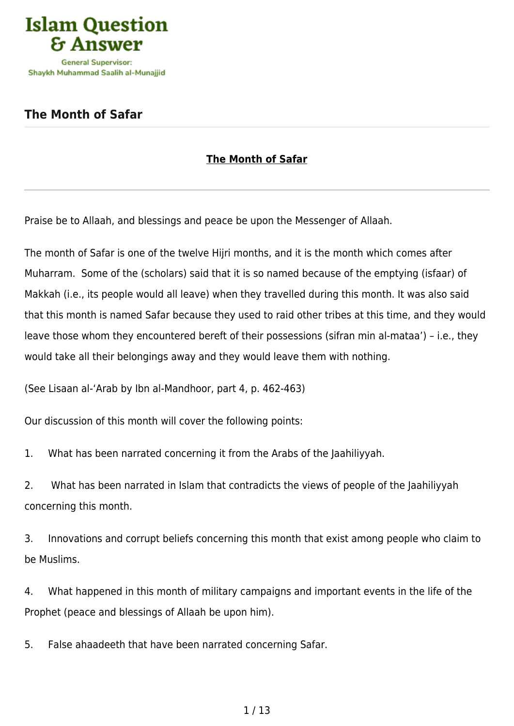

## **[The Month of Safar](https://islamqa.ws/en/articles/63/the-month-of-safar)**

## **The Month of Safar**

Praise be to Allaah, and blessings and peace be upon the Messenger of Allaah.

The month of Safar is one of the twelve Hijri months, and it is the month which comes after Muharram. Some of the (scholars) said that it is so named because of the emptying (isfaar) of Makkah (i.e., its people would all leave) when they travelled during this month. It was also said that this month is named Safar because they used to raid other tribes at this time, and they would leave those whom they encountered bereft of their possessions (sifran min al-mataa') – i.e., they would take all their belongings away and they would leave them with nothing.

(See Lisaan al-'Arab by Ibn al-Mandhoor, part 4, p. 462-463)

Our discussion of this month will cover the following points:

1. What has been narrated concerning it from the Arabs of the Jaahiliyyah.

2. What has been narrated in Islam that contradicts the views of people of the Jaahiliyyah concerning this month.

3. Innovations and corrupt beliefs concerning this month that exist among people who claim to be Muslims.

4. What happened in this month of military campaigns and important events in the life of the Prophet (peace and blessings of Allaah be upon him).

5. False ahaadeeth that have been narrated concerning Safar.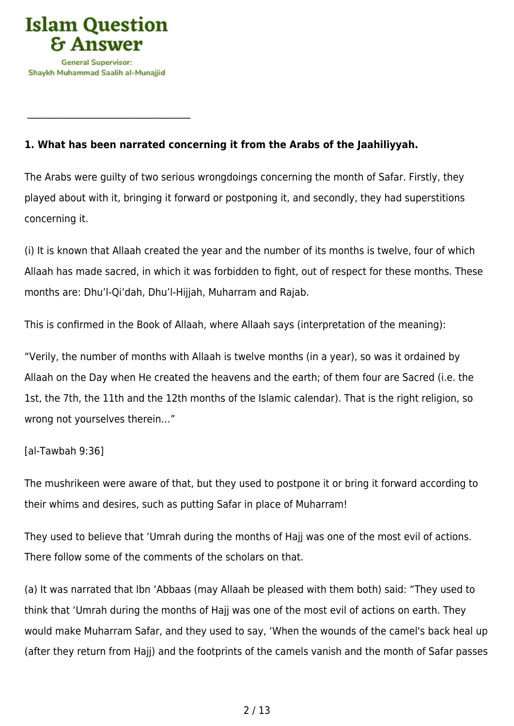

 $\mathcal{L}_\text{max}$  , and the set of the set of the set of the set of the set of the set of the set of the set of the set of the set of the set of the set of the set of the set of the set of the set of the set of the set of the

## **1. What has been narrated concerning it from the Arabs of the Jaahiliyyah.**

The Arabs were guilty of two serious wrongdoings concerning the month of Safar. Firstly, they played about with it, bringing it forward or postponing it, and secondly, they had superstitions concerning it.

(i) It is known that Allaah created the year and the number of its months is twelve, four of which Allaah has made sacred, in which it was forbidden to fight, out of respect for these months. These months are: Dhu'l-Qi'dah, Dhu'l-Hijjah, Muharram and Rajab.

This is confirmed in the Book of Allaah, where Allaah says (interpretation of the meaning):

"Verily, the number of months with Allaah is twelve months (in a year), so was it ordained by Allaah on the Day when He created the heavens and the earth; of them four are Sacred (i.e. the 1st, the 7th, the 11th and the 12th months of the Islamic calendar). That is the right religion, so wrong not yourselves therein…"

#### [al-Tawbah 9:36]

The mushrikeen were aware of that, but they used to postpone it or bring it forward according to their whims and desires, such as putting Safar in place of Muharram!

They used to believe that 'Umrah during the months of Hajj was one of the most evil of actions. There follow some of the comments of the scholars on that.

(a) It was narrated that Ibn 'Abbaas (may Allaah be pleased with them both) said: "They used to think that 'Umrah during the months of Hajj was one of the most evil of actions on earth. They would make Muharram Safar, and they used to say, 'When the wounds of the camel's back heal up (after they return from Hajj) and the footprints of the camels vanish and the month of Safar passes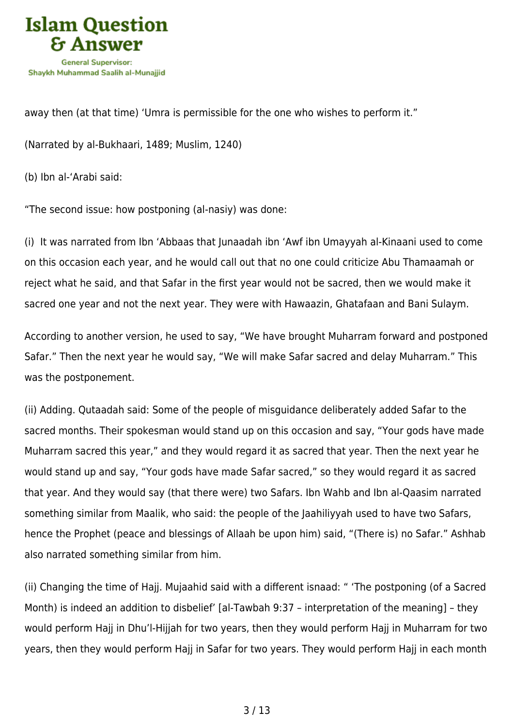

away then (at that time) 'Umra is permissible for the one who wishes to perform it."

(Narrated by al-Bukhaari, 1489; Muslim, 1240)

(b) Ibn al-'Arabi said:

"The second issue: how postponing (al-nasiy) was done:

(i) It was narrated from Ibn 'Abbaas that Junaadah ibn 'Awf ibn Umayyah al-Kinaani used to come on this occasion each year, and he would call out that no one could criticize Abu Thamaamah or reject what he said, and that Safar in the first year would not be sacred, then we would make it sacred one year and not the next year. They were with Hawaazin, Ghatafaan and Bani Sulaym.

According to another version, he used to say, "We have brought Muharram forward and postponed Safar." Then the next year he would say, "We will make Safar sacred and delay Muharram." This was the postponement.

(ii) Adding. Qutaadah said: Some of the people of misguidance deliberately added Safar to the sacred months. Their spokesman would stand up on this occasion and say, "Your gods have made Muharram sacred this year," and they would regard it as sacred that year. Then the next year he would stand up and say, "Your gods have made Safar sacred," so they would regard it as sacred that year. And they would say (that there were) two Safars. Ibn Wahb and Ibn al-Qaasim narrated something similar from Maalik, who said: the people of the Jaahiliyyah used to have two Safars, hence the Prophet (peace and blessings of Allaah be upon him) said, "(There is) no Safar." Ashhab also narrated something similar from him.

(ii) Changing the time of Hajj. Mujaahid said with a different isnaad: " 'The postponing (of a Sacred Month) is indeed an addition to disbelief' [al-Tawbah 9:37 – interpretation of the meaning] – they would perform Hajj in Dhu'l-Hijjah for two years, then they would perform Hajj in Muharram for two years, then they would perform Hajj in Safar for two years. They would perform Hajj in each month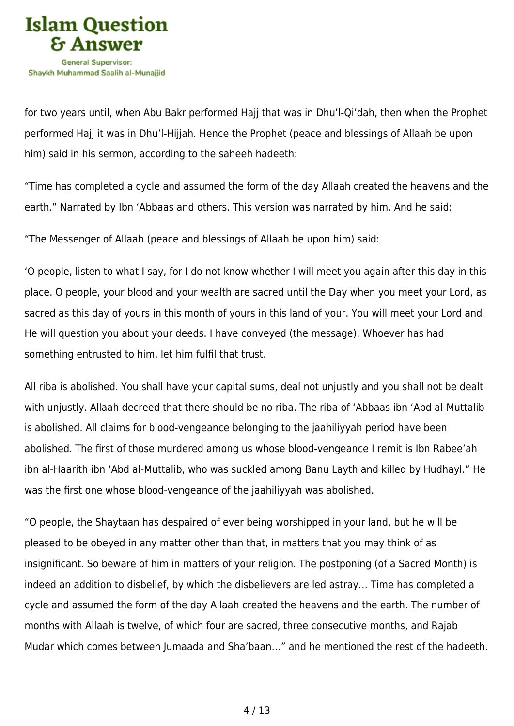

for two years until, when Abu Bakr performed Hajj that was in Dhu'l-Qi'dah, then when the Prophet performed Hajj it was in Dhu'l-Hijjah. Hence the Prophet (peace and blessings of Allaah be upon him) said in his sermon, according to the saheeh hadeeth:

"Time has completed a cycle and assumed the form of the day Allaah created the heavens and the earth." Narrated by Ibn 'Abbaas and others. This version was narrated by him. And he said:

"The Messenger of Allaah (peace and blessings of Allaah be upon him) said:

'O people, listen to what I say, for I do not know whether I will meet you again after this day in this place. O people, your blood and your wealth are sacred until the Day when you meet your Lord, as sacred as this day of yours in this month of yours in this land of your. You will meet your Lord and He will question you about your deeds. I have conveyed (the message). Whoever has had something entrusted to him, let him fulfil that trust.

All riba is abolished. You shall have your capital sums, deal not unjustly and you shall not be dealt with unjustly. Allaah decreed that there should be no riba. The riba of 'Abbaas ibn 'Abd al-Muttalib is abolished. All claims for blood-vengeance belonging to the jaahiliyyah period have been abolished. The first of those murdered among us whose blood-vengeance I remit is Ibn Rabee'ah ibn al-Haarith ibn 'Abd al-Muttalib, who was suckled among Banu Layth and killed by Hudhayl." He was the first one whose blood-vengeance of the jaahiliyyah was abolished.

"O people, the Shaytaan has despaired of ever being worshipped in your land, but he will be pleased to be obeyed in any matter other than that, in matters that you may think of as insignificant. So beware of him in matters of your religion. The postponing (of a Sacred Month) is indeed an addition to disbelief, by which the disbelievers are led astray… Time has completed a cycle and assumed the form of the day Allaah created the heavens and the earth. The number of months with Allaah is twelve, of which four are sacred, three consecutive months, and Rajab Mudar which comes between Jumaada and Sha'baan…" and he mentioned the rest of the hadeeth.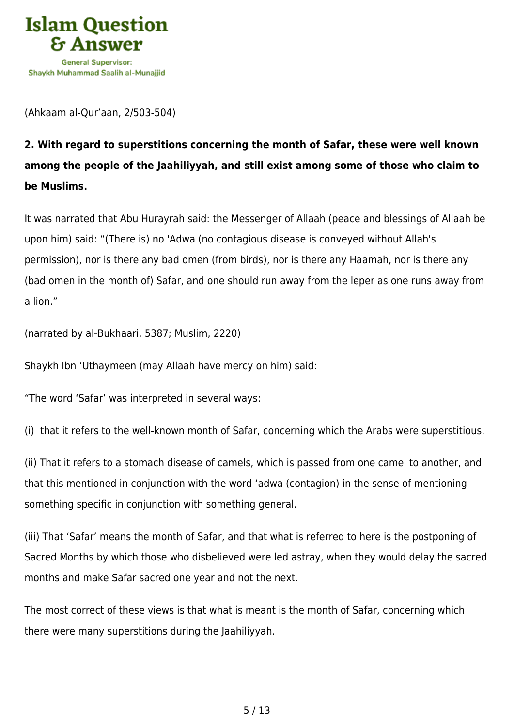

(Ahkaam al-Qur'aan, 2/503-504)

# **2. With regard to superstitions concerning the month of Safar, these were well known among the people of the Jaahiliyyah, and still exist among some of those who claim to be Muslims.**

It was narrated that Abu Hurayrah said: the Messenger of Allaah (peace and blessings of Allaah be upon him) said: "(There is) no 'Adwa (no contagious disease is conveyed without Allah's permission), nor is there any bad omen (from birds), nor is there any Haamah, nor is there any (bad omen in the month of) Safar, and one should run away from the leper as one runs away from a lion."

(narrated by al-Bukhaari, 5387; Muslim, 2220)

Shaykh Ibn 'Uthaymeen (may Allaah have mercy on him) said:

"The word 'Safar' was interpreted in several ways:

(i) that it refers to the well-known month of Safar, concerning which the Arabs were superstitious.

(ii) That it refers to a stomach disease of camels, which is passed from one camel to another, and that this mentioned in conjunction with the word 'adwa (contagion) in the sense of mentioning something specific in conjunction with something general.

(iii) That 'Safar' means the month of Safar, and that what is referred to here is the postponing of Sacred Months by which those who disbelieved were led astray, when they would delay the sacred months and make Safar sacred one year and not the next.

The most correct of these views is that what is meant is the month of Safar, concerning which there were many superstitions during the Jaahiliyyah.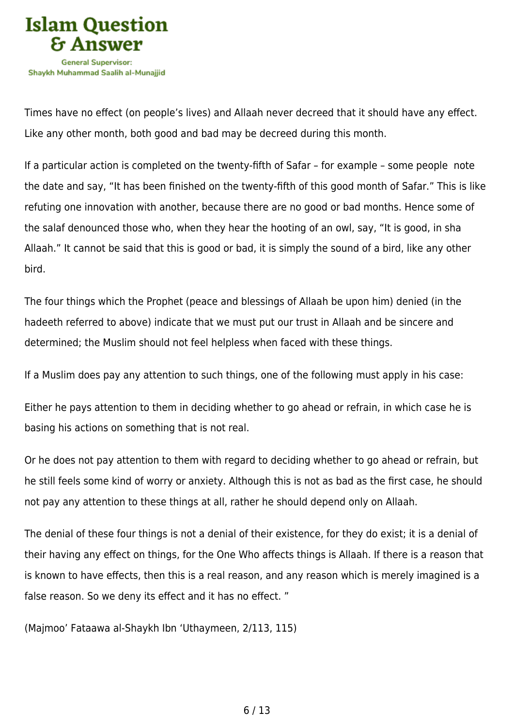

Times have no effect (on people's lives) and Allaah never decreed that it should have any effect. Like any other month, both good and bad may be decreed during this month.

If a particular action is completed on the twenty-fifth of Safar – for example – some people note the date and say, "It has been finished on the twenty-fifth of this good month of Safar." This is like refuting one innovation with another, because there are no good or bad months. Hence some of the salaf denounced those who, when they hear the hooting of an owl, say, "It is good, in sha Allaah." It cannot be said that this is good or bad, it is simply the sound of a bird, like any other bird.

The four things which the Prophet (peace and blessings of Allaah be upon him) denied (in the hadeeth referred to above) indicate that we must put our trust in Allaah and be sincere and determined; the Muslim should not feel helpless when faced with these things.

If a Muslim does pay any attention to such things, one of the following must apply in his case:

Either he pays attention to them in deciding whether to go ahead or refrain, in which case he is basing his actions on something that is not real.

Or he does not pay attention to them with regard to deciding whether to go ahead or refrain, but he still feels some kind of worry or anxiety. Although this is not as bad as the first case, he should not pay any attention to these things at all, rather he should depend only on Allaah.

The denial of these four things is not a denial of their existence, for they do exist; it is a denial of their having any effect on things, for the One Who affects things is Allaah. If there is a reason that is known to have effects, then this is a real reason, and any reason which is merely imagined is a false reason. So we deny its effect and it has no effect. "

(Majmoo' Fataawa al-Shaykh Ibn 'Uthaymeen, 2/113, 115)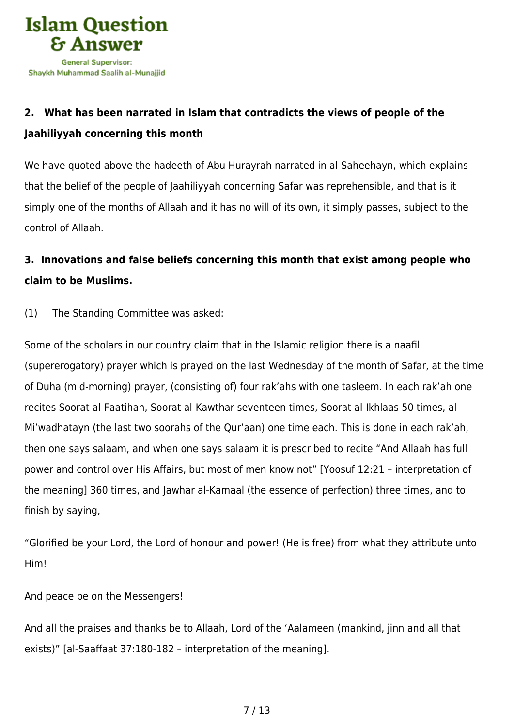

# **2. What has been narrated in Islam that contradicts the views of people of the Jaahiliyyah concerning this month**

We have quoted above the hadeeth of Abu Hurayrah narrated in al-Saheehayn, which explains that the belief of the people of Jaahiliyyah concerning Safar was reprehensible, and that is it simply one of the months of Allaah and it has no will of its own, it simply passes, subject to the control of Allaah.

# **3. Innovations and false beliefs concerning this month that exist among people who claim to be Muslims.**

(1) The Standing Committee was asked:

Some of the scholars in our country claim that in the Islamic religion there is a naafil (supererogatory) prayer which is prayed on the last Wednesday of the month of Safar, at the time of Duha (mid-morning) prayer, (consisting of) four rak'ahs with one tasleem. In each rak'ah one recites Soorat al-Faatihah, Soorat al-Kawthar seventeen times, Soorat al-Ikhlaas 50 times, al-Mi'wadhatayn (the last two soorahs of the Qur'aan) one time each. This is done in each rak'ah, then one says salaam, and when one says salaam it is prescribed to recite "And Allaah has full power and control over His Affairs, but most of men know not" [Yoosuf 12:21 – interpretation of the meaning] 360 times, and Jawhar al-Kamaal (the essence of perfection) three times, and to finish by saying,

"Glorified be your Lord, the Lord of honour and power! (He is free) from what they attribute unto Him!

And peace be on the Messengers!

And all the praises and thanks be to Allaah, Lord of the 'Aalameen (mankind, jinn and all that exists)" [al-Saaffaat 37:180-182 – interpretation of the meaning].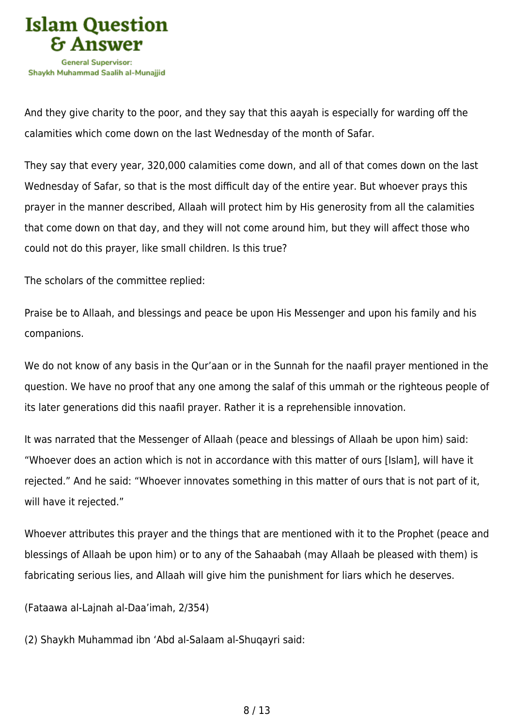

And they give charity to the poor, and they say that this aayah is especially for warding off the calamities which come down on the last Wednesday of the month of Safar.

They say that every year, 320,000 calamities come down, and all of that comes down on the last Wednesday of Safar, so that is the most difficult day of the entire year. But whoever prays this prayer in the manner described, Allaah will protect him by His generosity from all the calamities that come down on that day, and they will not come around him, but they will affect those who could not do this prayer, like small children. Is this true?

The scholars of the committee replied:

Praise be to Allaah, and blessings and peace be upon His Messenger and upon his family and his companions.

We do not know of any basis in the Qur'aan or in the Sunnah for the naafil prayer mentioned in the question. We have no proof that any one among the salaf of this ummah or the righteous people of its later generations did this naafil prayer. Rather it is a reprehensible innovation.

It was narrated that the Messenger of Allaah (peace and blessings of Allaah be upon him) said: "Whoever does an action which is not in accordance with this matter of ours [Islam], will have it rejected." And he said: "Whoever innovates something in this matter of ours that is not part of it, will have it rejected."

Whoever attributes this prayer and the things that are mentioned with it to the Prophet (peace and blessings of Allaah be upon him) or to any of the Sahaabah (may Allaah be pleased with them) is fabricating serious lies, and Allaah will give him the punishment for liars which he deserves.

(Fataawa al-Lajnah al-Daa'imah, 2/354)

(2) Shaykh Muhammad ibn 'Abd al-Salaam al-Shuqayri said: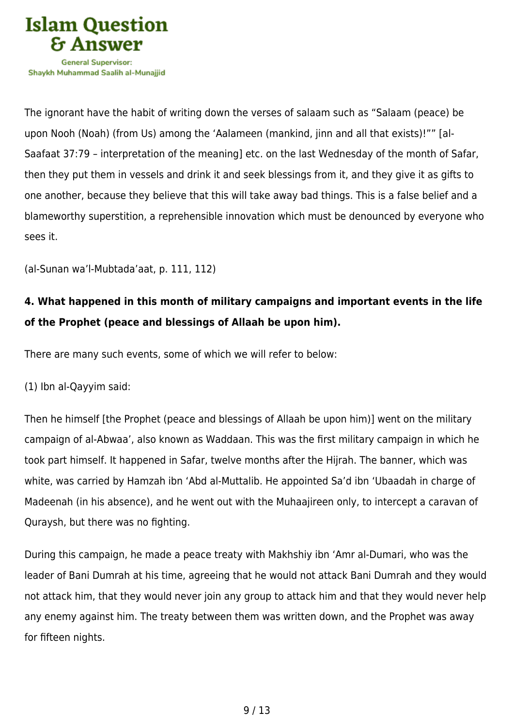

The ignorant have the habit of writing down the verses of salaam such as "Salaam (peace) be upon Nooh (Noah) (from Us) among the 'Aalameen (mankind, jinn and all that exists)!"" [al-Saafaat 37:79 – interpretation of the meaning] etc. on the last Wednesday of the month of Safar, then they put them in vessels and drink it and seek blessings from it, and they give it as gifts to one another, because they believe that this will take away bad things. This is a false belief and a blameworthy superstition, a reprehensible innovation which must be denounced by everyone who sees it.

(al-Sunan wa'l-Mubtada'aat, p. 111, 112)

# **4. What happened in this month of military campaigns and important events in the life of the Prophet (peace and blessings of Allaah be upon him).**

There are many such events, some of which we will refer to below:

(1) Ibn al-Qayyim said:

Then he himself [the Prophet (peace and blessings of Allaah be upon him)] went on the military campaign of al-Abwaa', also known as Waddaan. This was the first military campaign in which he took part himself. It happened in Safar, twelve months after the Hijrah. The banner, which was white, was carried by Hamzah ibn 'Abd al-Muttalib. He appointed Sa'd ibn 'Ubaadah in charge of Madeenah (in his absence), and he went out with the Muhaajireen only, to intercept a caravan of Quraysh, but there was no fighting.

During this campaign, he made a peace treaty with Makhshiy ibn 'Amr al-Dumari, who was the leader of Bani Dumrah at his time, agreeing that he would not attack Bani Dumrah and they would not attack him, that they would never join any group to attack him and that they would never help any enemy against him. The treaty between them was written down, and the Prophet was away for fifteen nights.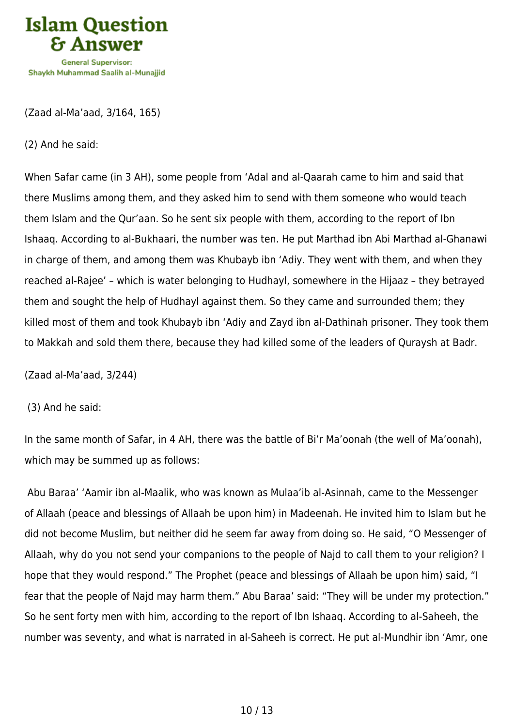

(Zaad al-Ma'aad, 3/164, 165)

(2) And he said:

When Safar came (in 3 AH), some people from 'Adal and al-Qaarah came to him and said that there Muslims among them, and they asked him to send with them someone who would teach them Islam and the Qur'aan. So he sent six people with them, according to the report of Ibn Ishaaq. According to al-Bukhaari, the number was ten. He put Marthad ibn Abi Marthad al-Ghanawi in charge of them, and among them was Khubayb ibn 'Adiy. They went with them, and when they reached al-Rajee' – which is water belonging to Hudhayl, somewhere in the Hijaaz – they betrayed them and sought the help of Hudhayl against them. So they came and surrounded them; they killed most of them and took Khubayb ibn 'Adiy and Zayd ibn al-Dathinah prisoner. They took them to Makkah and sold them there, because they had killed some of the leaders of Quraysh at Badr.

(Zaad al-Ma'aad, 3/244)

(3) And he said:

In the same month of Safar, in 4 AH, there was the battle of Bi'r Ma'oonah (the well of Ma'oonah), which may be summed up as follows:

 Abu Baraa' 'Aamir ibn al-Maalik, who was known as Mulaa'ib al-Asinnah, came to the Messenger of Allaah (peace and blessings of Allaah be upon him) in Madeenah. He invited him to Islam but he did not become Muslim, but neither did he seem far away from doing so. He said, "O Messenger of Allaah, why do you not send your companions to the people of Najd to call them to your religion? I hope that they would respond." The Prophet (peace and blessings of Allaah be upon him) said, "I fear that the people of Najd may harm them." Abu Baraa' said: "They will be under my protection." So he sent forty men with him, according to the report of Ibn Ishaaq. According to al-Saheeh, the number was seventy, and what is narrated in al-Saheeh is correct. He put al-Mundhir ibn 'Amr, one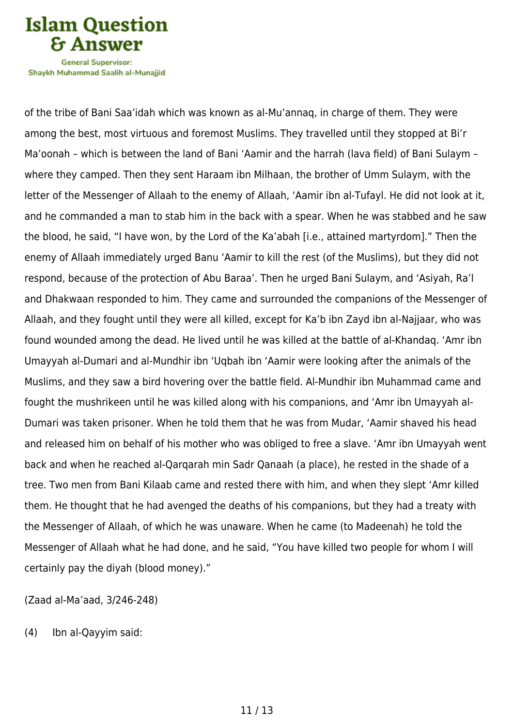

Shavkh Muhammad Saalih al-Munaiiid

of the tribe of Bani Saa'idah which was known as al-Mu'annaq, in charge of them. They were among the best, most virtuous and foremost Muslims. They travelled until they stopped at Bi'r Ma'oonah – which is between the land of Bani 'Aamir and the harrah (lava field) of Bani Sulaym – where they camped. Then they sent Haraam ibn Milhaan, the brother of Umm Sulaym, with the letter of the Messenger of Allaah to the enemy of Allaah, 'Aamir ibn al-Tufayl. He did not look at it, and he commanded a man to stab him in the back with a spear. When he was stabbed and he saw the blood, he said, "I have won, by the Lord of the Ka'abah [i.e., attained martyrdom]." Then the enemy of Allaah immediately urged Banu 'Aamir to kill the rest (of the Muslims), but they did not respond, because of the protection of Abu Baraa'. Then he urged Bani Sulaym, and 'Asiyah, Ra'l and Dhakwaan responded to him. They came and surrounded the companions of the Messenger of Allaah, and they fought until they were all killed, except for Ka'b ibn Zayd ibn al-Najjaar, who was found wounded among the dead. He lived until he was killed at the battle of al-Khandaq. 'Amr ibn Umayyah al-Dumari and al-Mundhir ibn 'Uqbah ibn 'Aamir were looking after the animals of the Muslims, and they saw a bird hovering over the battle field. Al-Mundhir ibn Muhammad came and fought the mushrikeen until he was killed along with his companions, and 'Amr ibn Umayyah al-Dumari was taken prisoner. When he told them that he was from Mudar, 'Aamir shaved his head and released him on behalf of his mother who was obliged to free a slave. 'Amr ibn Umayyah went back and when he reached al-Qarqarah min Sadr Qanaah (a place), he rested in the shade of a tree. Two men from Bani Kilaab came and rested there with him, and when they slept 'Amr killed them. He thought that he had avenged the deaths of his companions, but they had a treaty with the Messenger of Allaah, of which he was unaware. When he came (to Madeenah) he told the Messenger of Allaah what he had done, and he said, "You have killed two people for whom I will certainly pay the diyah (blood money)."

(Zaad al-Ma'aad, 3/246-248)

(4) Ibn al-Qayyim said: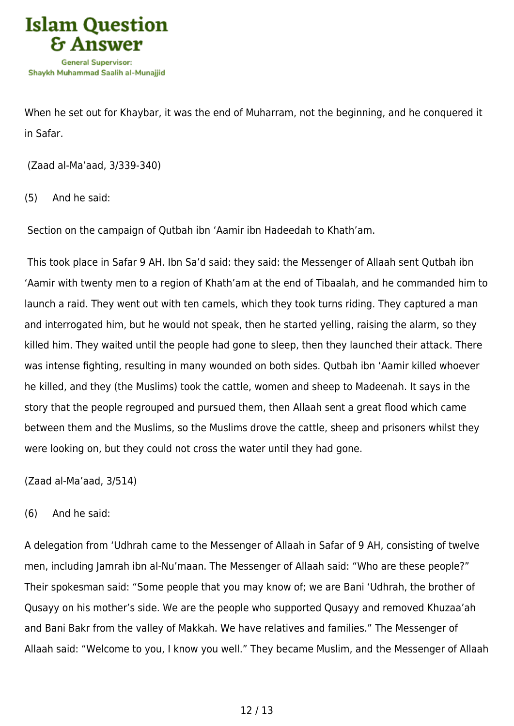

When he set out for Khaybar, it was the end of Muharram, not the beginning, and he conquered it in Safar.

(Zaad al-Ma'aad, 3/339-340)

(5) And he said:

Section on the campaign of Qutbah ibn 'Aamir ibn Hadeedah to Khath'am.

 This took place in Safar 9 AH. Ibn Sa'd said: they said: the Messenger of Allaah sent Qutbah ibn 'Aamir with twenty men to a region of Khath'am at the end of Tibaalah, and he commanded him to launch a raid. They went out with ten camels, which they took turns riding. They captured a man and interrogated him, but he would not speak, then he started yelling, raising the alarm, so they killed him. They waited until the people had gone to sleep, then they launched their attack. There was intense fighting, resulting in many wounded on both sides. Qutbah ibn 'Aamir killed whoever he killed, and they (the Muslims) took the cattle, women and sheep to Madeenah. It says in the story that the people regrouped and pursued them, then Allaah sent a great flood which came between them and the Muslims, so the Muslims drove the cattle, sheep and prisoners whilst they were looking on, but they could not cross the water until they had gone.

(Zaad al-Ma'aad, 3/514)

(6) And he said:

A delegation from 'Udhrah came to the Messenger of Allaah in Safar of 9 AH, consisting of twelve men, including Jamrah ibn al-Nu'maan. The Messenger of Allaah said: "Who are these people?" Their spokesman said: "Some people that you may know of; we are Bani 'Udhrah, the brother of Qusayy on his mother's side. We are the people who supported Qusayy and removed Khuzaa'ah and Bani Bakr from the valley of Makkah. We have relatives and families." The Messenger of Allaah said: "Welcome to you, I know you well." They became Muslim, and the Messenger of Allaah